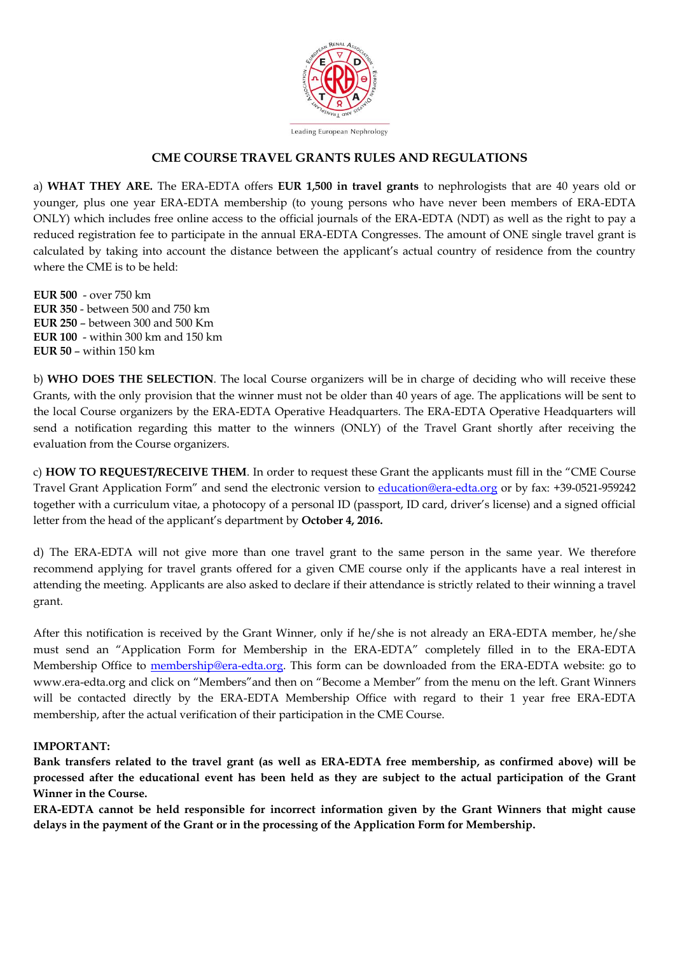

## **CME COURSE TRAVEL GRANTS RULES AND REGULATIONS**

a) **WHAT THEY ARE.** The ERA-EDTA offers **EUR 1,500 in travel grants** to nephrologists that are 40 years old or younger, plus one year ERA-EDTA membership (to young persons who have never been members of ERA-EDTA ONLY) which includes free online access to the official journals of the ERA-EDTA (NDT) as well as the right to pay a reduced registration fee to participate in the annual ERA-EDTA Congresses. The amount of ONE single travel grant is calculated by taking into account the distance between the applicant's actual country of residence from the country where the CME is to be held:

**EUR 500** - over 750 km **EUR 350** - between 500 and 750 km **EUR 250** – between 300 and 500 Km **EUR 100** - within 300 km and 150 km **EUR 50** – within 150 km

b) **WHO DOES THE SELECTION**. The local Course organizers will be in charge of deciding who will receive these Grants, with the only provision that the winner must not be older than 40 years of age. The applications will be sent to the local Course organizers by the ERA-EDTA Operative Headquarters. The ERA-EDTA Operative Headquarters will send a notification regarding this matter to the winners (ONLY) of the Travel Grant shortly after receiving the evaluation from the Course organizers.

c) **HOW TO REQUEST/RECEIVE THEM**. In order to request these Grant the applicants must fill in the "CME Course Travel Grant Application Form" and send the electronic version to *education@era-edta.org* or by fax: +39-0521-959242 together with a curriculum vitae, a photocopy of a personal ID (passport, ID card, driver's license) and a signed official letter from the head of the applicant's department by **October 4, 2016.** 

d) The ERA-EDTA will not give more than one travel grant to the same person in the same year. We therefore recommend applying for travel grants offered for a given CME course only if the applicants have a real interest in attending the meeting. Applicants are also asked to declare if their attendance is strictly related to their winning a travel grant.

After this notification is received by the Grant Winner, only if he/she is not already an ERA-EDTA member, he/she must send an "Application Form for Membership in the ERA-EDTA" completely filled in to the ERA-EDTA Membership Office to [membership@era-edta.org.](mailto:membership@era-edta.org) This form can be downloaded from the ERA-EDTA website: go to www.era-edta.org and click on "Members"and then on "Become a Member" from the menu on the left. Grant Winners will be contacted directly by the ERA-EDTA Membership Office with regard to their 1 year free ERA-EDTA membership, after the actual verification of their participation in the CME Course.

## **IMPORTANT:**

**Bank transfers related to the travel grant (as well as ERA-EDTA free membership, as confirmed above) will be processed after the educational event has been held as they are subject to the actual participation of the Grant Winner in the Course.** 

**ERA-EDTA cannot be held responsible for incorrect information given by the Grant Winners that might cause delays in the payment of the Grant or in the processing of the Application Form for Membership.**